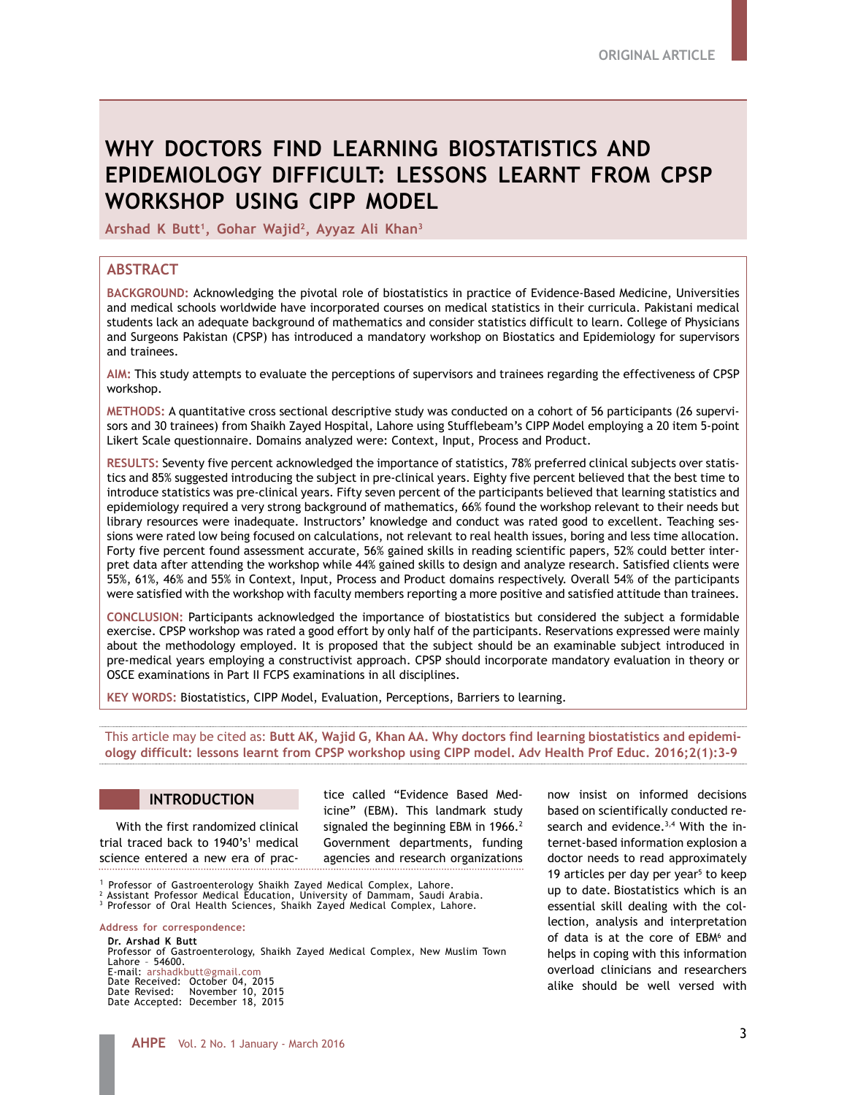# **WHY DOCTORS FIND LEARNING BIOSTATISTICS AND EPIDEMIOLOGY DIFFICULT: LESSONS LEARNT FROM CPSP WORKSHOP USING CIPP MODEL**

Arshad K Butt<sup>1</sup>, Gohar Wajid<sup>2</sup>, Ayyaz Ali Khan<sup>3</sup>

# **ABSTRACT**

**BACKGROUND:** Acknowledging the pivotal role of biostatistics in practice of Evidence-Based Medicine, Universities and medical schools worldwide have incorporated courses on medical statistics in their curricula. Pakistani medical students lack an adequate background of mathematics and consider statistics difficult to learn. College of Physicians and Surgeons Pakistan (CPSP) has introduced a mandatory workshop on Biostatics and Epidemiology for supervisors and trainees.

**AIM:** This study attempts to evaluate the perceptions of supervisors and trainees regarding the effectiveness of CPSP workshop.

**METHODS:** A quantitative cross sectional descriptive study was conducted on a cohort of 56 participants (26 supervisors and 30 trainees) from Shaikh Zayed Hospital, Lahore using Stufflebeam's CIPP Model employing a 20 item 5-point Likert Scale questionnaire. Domains analyzed were: Context, Input, Process and Product.

**RESULTS:** Seventy five percent acknowledged the importance of statistics, 78% preferred clinical subjects over statistics and 85% suggested introducing the subject in pre-clinical years. Eighty five percent believed that the best time to introduce statistics was pre-clinical years. Fifty seven percent of the participants believed that learning statistics and epidemiology required a very strong background of mathematics, 66% found the workshop relevant to their needs but library resources were inadequate. Instructors' knowledge and conduct was rated good to excellent. Teaching sessions were rated low being focused on calculations, not relevant to real health issues, boring and less time allocation. Forty five percent found assessment accurate, 56% gained skills in reading scientific papers, 52% could better interpret data after attending the workshop while 44% gained skills to design and analyze research. Satisfied clients were 55%, 61%, 46% and 55% in Context, Input, Process and Product domains respectively. Overall 54% of the participants were satisfied with the workshop with faculty members reporting a more positive and satisfied attitude than trainees.

**CONCLUSION:** Participants acknowledged the importance of biostatistics but considered the subject a formidable exercise. CPSP workshop was rated a good effort by only half of the participants. Reservations expressed were mainly about the methodology employed. It is proposed that the subject should be an examinable subject introduced in pre-medical years employing a constructivist approach. CPSP should incorporate mandatory evaluation in theory or OSCE examinations in Part II FCPS examinations in all disciplines.

**KEY WORDS:** Biostatistics, CIPP Model, Evaluation, Perceptions, Barriers to learning.

This article may be cited as: **Butt AK, Wajid G, Khan AA. Why doctors find learning biostatistics and epidemiology difficult: lessons learnt from CPSP workshop using CIPP model. Adv Health Prof Educ. 2016;2(1):3-9** 

# **INTRODUCTION**

With the first randomized clinical trial traced back to 1940's<sup>1</sup> medical science entered a new era of practice called "Evidence Based Medicine" (EBM). This landmark study signaled the beginning EBM in 1966.<sup>2</sup> Government departments, funding agencies and research organizations

1 Professor of Gastroenterology Shaikh Zayed Medical Complex, Lahore.

2 Assistant Professor Medical Education, University of Dammam, Saudi Arabia. 3 Professor of Oral Health Sciences, Shaikh Zayed Medical Complex, Lahore.

#### **Address for correspondence:**

**Dr. Arshad K Butt** Professor of Gastroenterology, Shaikh Zayed Medical Complex, New Muslim Town Lahore – 54600. E-mail: arshadkbutt@gmail.com

Date Received: October 04, 2015 Date Revised: November 10, 2015 Date Accepted: December 18, 2015 now insist on informed decisions based on scientifically conducted research and evidence. $3,4$  With the internet-based information explosion a doctor needs to read approximately 19 articles per day per year<sup>5</sup> to keep up to date. Biostatistics which is an essential skill dealing with the collection, analysis and interpretation of data is at the core of EBM<sup>6</sup> and helps in coping with this information overload clinicians and researchers alike should be well versed with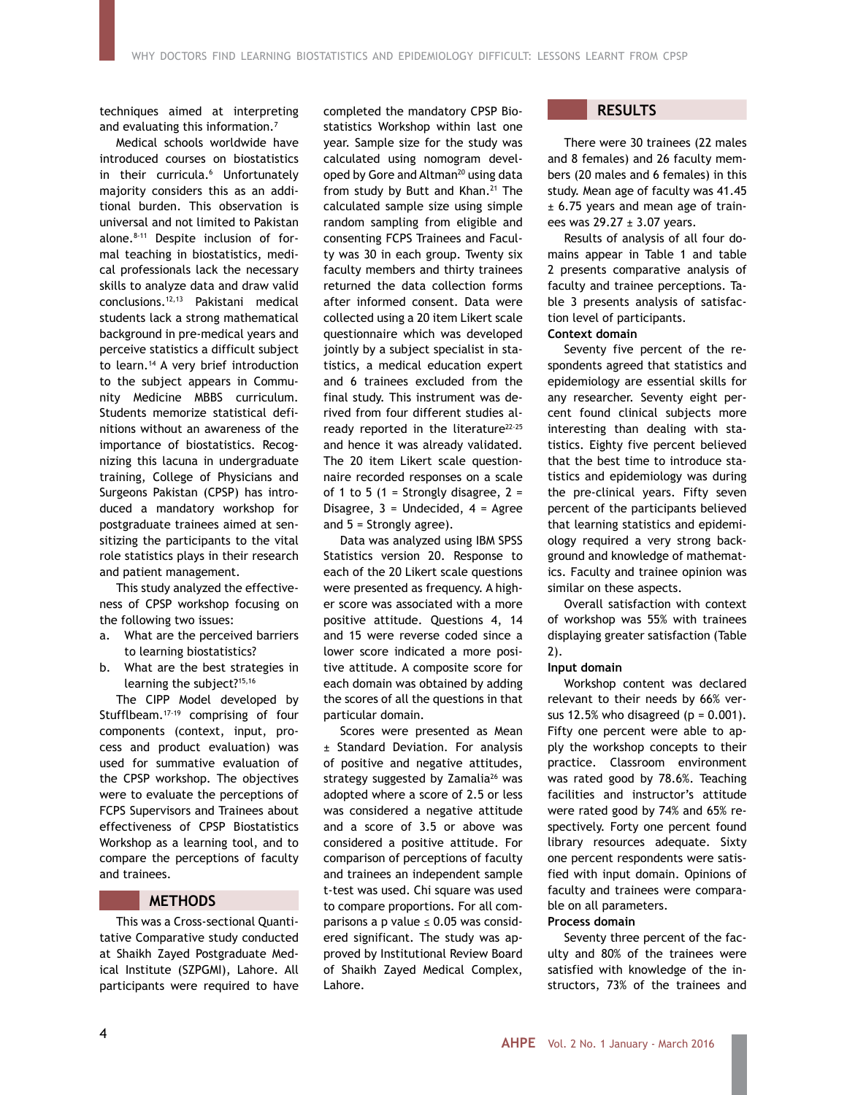techniques aimed at interpreting and evaluating this information.7

Medical schools worldwide have introduced courses on biostatistics in their curricula.6 Unfortunately majority considers this as an additional burden. This observation is universal and not limited to Pakistan alone.<sup>8-11</sup> Despite inclusion of formal teaching in biostatistics, medical professionals lack the necessary skills to analyze data and draw valid conclusions.12,13 Pakistani medical students lack a strong mathematical background in pre-medical years and perceive statistics a difficult subject to learn.<sup>14</sup> A very brief introduction to the subject appears in Community Medicine MBBS curriculum. Students memorize statistical definitions without an awareness of the importance of biostatistics. Recognizing this lacuna in undergraduate training, College of Physicians and Surgeons Pakistan (CPSP) has introduced a mandatory workshop for postgraduate trainees aimed at sensitizing the participants to the vital role statistics plays in their research and patient management.

This study analyzed the effectiveness of CPSP workshop focusing on the following two issues:

- a. What are the perceived barriers to learning biostatistics?
- b. What are the best strategies in learning the subject?<sup>15,16</sup>

The CIPP Model developed by Stufflbeam.17-19 comprising of four components (context, input, process and product evaluation) was used for summative evaluation of the CPSP workshop. The objectives were to evaluate the perceptions of FCPS Supervisors and Trainees about effectiveness of CPSP Biostatistics Workshop as a learning tool, and to compare the perceptions of faculty and trainees.

### **METHODS**

This was a Cross-sectional Quantitative Comparative study conducted at Shaikh Zayed Postgraduate Medical Institute (SZPGMI), Lahore. All participants were required to have

completed the mandatory CPSP Biostatistics Workshop within last one year. Sample size for the study was calculated using nomogram developed by Gore and Altman<sup>20</sup> using data from study by Butt and Khan.<sup>21</sup> The calculated sample size using simple random sampling from eligible and consenting FCPS Trainees and Faculty was 30 in each group. Twenty six faculty members and thirty trainees returned the data collection forms after informed consent. Data were collected using a 20 item Likert scale questionnaire which was developed jointly by a subject specialist in statistics, a medical education expert and 6 trainees excluded from the final study. This instrument was derived from four different studies already reported in the literature<sup>22-25</sup> and hence it was already validated. The 20 item Likert scale questionnaire recorded responses on a scale of 1 to 5 (1 = Strongly disagree,  $2 =$ Disagree,  $3 =$  Undecided,  $4 =$  Agree and  $5 =$  Strongly agree).

Data was analyzed using IBM SPSS Statistics version 20. Response to each of the 20 Likert scale questions were presented as frequency. A higher score was associated with a more positive attitude. Questions 4, 14 and 15 were reverse coded since a lower score indicated a more positive attitude. A composite score for each domain was obtained by adding the scores of all the questions in that particular domain.

Scores were presented as Mean ± Standard Deviation. For analysis of positive and negative attitudes, strategy suggested by Zamalia<sup>26</sup> was adopted where a score of 2.5 or less was considered a negative attitude and a score of 3.5 or above was considered a positive attitude. For comparison of perceptions of faculty and trainees an independent sample t-test was used. Chi square was used to compare proportions. For all comparisons a p value  $\leq$  0.05 was considered significant. The study was approved by Institutional Review Board of Shaikh Zayed Medical Complex, Lahore.

# **RESULTS**

There were 30 trainees (22 males and 8 females) and 26 faculty members (20 males and 6 females) in this study. Mean age of faculty was 41.45 ± 6.75 years and mean age of trainees was  $29.27 \pm 3.07$  years.

Results of analysis of all four domains appear in Table 1 and table 2 presents comparative analysis of faculty and trainee perceptions. Table 3 presents analysis of satisfaction level of participants. **Context domain**

# Seventy five percent of the respondents agreed that statistics and epidemiology are essential skills for any researcher. Seventy eight percent found clinical subjects more interesting than dealing with statistics. Eighty five percent believed that the best time to introduce statistics and epidemiology was during the pre-clinical years. Fifty seven percent of the participants believed that learning statistics and epidemiology required a very strong background and knowledge of mathematics. Faculty and trainee opinion was similar on these aspects.

Overall satisfaction with context of workshop was 55% with trainees displaying greater satisfaction (Table 2).

### **Input domain**

Workshop content was declared relevant to their needs by 66% versus 12.5% who disagreed  $(p = 0.001)$ . Fifty one percent were able to apply the workshop concepts to their practice. Classroom environment was rated good by 78.6%. Teaching facilities and instructor's attitude were rated good by 74% and 65% respectively. Forty one percent found library resources adequate. Sixty one percent respondents were satisfied with input domain. Opinions of faculty and trainees were comparable on all parameters.

#### **Process domain**

Seventy three percent of the faculty and 80% of the trainees were satisfied with knowledge of the instructors, 73% of the trainees and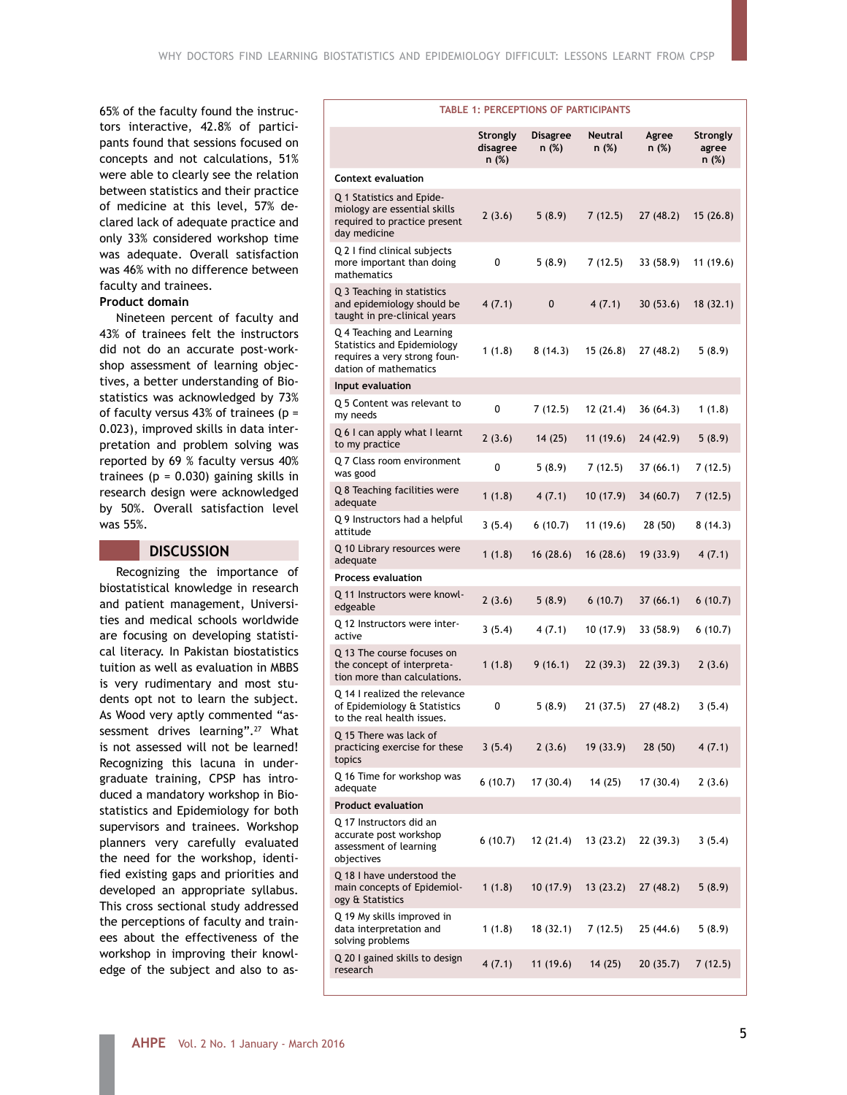65% of the faculty found the instructors interactive, 42.8% of participants found that sessions focused on concepts and not calculations, 51% were able to clearly see the relation between statistics and their practice of medicine at this level, 57% declared lack of adequate practice and only 33% considered workshop time was adequate. Overall satisfaction was 46% with no difference between faculty and trainees.

# **Product domain**

Nineteen percent of faculty and 43% of trainees felt the instructors did not do an accurate post-workshop assessment of learning objectives, a better understanding of Biostatistics was acknowledged by 73% of faculty versus 43% of trainees ( $p =$ 0.023), improved skills in data interpretation and problem solving was reported by 69 % faculty versus 40% trainees ( $p = 0.030$ ) gaining skills in research design were acknowledged by 50%. Overall satisfaction level was 55%.

# **DISCUSSION**

Recognizing the importance of biostatistical knowledge in research and patient management, Universities and medical schools worldwide are focusing on developing statistical literacy. In Pakistan biostatistics tuition as well as evaluation in MBBS is very rudimentary and most students opt not to learn the subject. As Wood very aptly commented "assessment drives learning".<sup>27</sup> What is not assessed will not be learned! Recognizing this lacuna in undergraduate training, CPSP has introduced a mandatory workshop in Biostatistics and Epidemiology for both supervisors and trainees. Workshop planners very carefully evaluated the need for the workshop, identified existing gaps and priorities and developed an appropriate syllabus. This cross sectional study addressed the perceptions of faculty and trainees about the effectiveness of the workshop in improving their knowledge of the subject and also to as-

| <b>TABLE 1: PERCEPTIONS OF PARTICIPANTS</b>                                                                       |                               |                          |                         |                |                                   |  |  |
|-------------------------------------------------------------------------------------------------------------------|-------------------------------|--------------------------|-------------------------|----------------|-----------------------------------|--|--|
|                                                                                                                   | Strongly<br>disagree<br>n (%) | <b>Disagree</b><br>n (%) | <b>Neutral</b><br>n (%) | Agree<br>n (%) | <b>Strongly</b><br>agree<br>n (%) |  |  |
| <b>Context evaluation</b>                                                                                         |                               |                          |                         |                |                                   |  |  |
| Q 1 Statistics and Epide-<br>miology are essential skills<br>required to practice present<br>day medicine         | 2(3.6)                        | 5(8.9)                   | 7(12.5)                 | 27 (48.2)      | 15(26.8)                          |  |  |
| Q 2 I find clinical subjects<br>more important than doing<br>mathematics                                          | 0                             | 5(8.9)                   | 7(12.5)                 | 33 (58.9)      | 11 (19.6)                         |  |  |
| Q 3 Teaching in statistics<br>and epidemiology should be<br>taught in pre-clinical years                          | 4(7.1)                        | 0                        | 4(7.1)                  | 30(53.6)       | 18(32.1)                          |  |  |
| Q 4 Teaching and Learning<br>Statistics and Epidemiology<br>requires a very strong foun-<br>dation of mathematics | 1(1.8)                        | 8(14.3)                  | 15(26.8)                | 27 (48.2)      | 5(8.9)                            |  |  |
| Input evaluation                                                                                                  |                               |                          |                         |                |                                   |  |  |
| Q 5 Content was relevant to<br>my needs                                                                           | 0                             | 7(12.5)                  | 12(21.4)                | 36(64.3)       | 1 (1.8)                           |  |  |
| Q 6 I can apply what I learnt<br>to my practice                                                                   | 2(3.6)                        | 14 (25)                  | 11(19.6)                | 24 (42.9)      | 5 (8.9)                           |  |  |
| Q 7 Class room environment<br>was good                                                                            | 0                             | 5(8.9)                   | 7(12.5)                 | 37(66.1)       | 7(12.5)                           |  |  |
| Q 8 Teaching facilities were<br>adequate                                                                          | 1(1.8)                        | 4(7.1)                   | 10(17.9)                | 34 (60.7)      | 7(12.5)                           |  |  |
| Q 9 Instructors had a helpful<br>attitude                                                                         | 3(5.4)                        | 6(10.7)                  | 11(19.6)                | 28 (50)        | 8(14.3)                           |  |  |
| Q 10 Library resources were<br>adequate                                                                           | 1(1.8)                        | 16(28.6)                 | 16(28.6)                | 19(33.9)       | 4(7.1)                            |  |  |
| <b>Process evaluation</b>                                                                                         |                               |                          |                         |                |                                   |  |  |
| Q 11 Instructors were knowl-<br>edgeable                                                                          | 2(3.6)                        | 5(8.9)                   | 6(10.7)                 | 37(66.1)       | 6(10.7)                           |  |  |
| Q 12 Instructors were inter-<br>active                                                                            | 3(5.4)                        | 4(7.1)                   | 10 (17.9)               | 33 (58.9)      | 6(10.7)                           |  |  |
| Q 13 The course focuses on<br>the concept of interpreta-<br>tion more than calculations.                          | 1(1.8)                        | 9(16.1)                  | 22 (39.3)               | 22 (39.3)      | 2(3.6)                            |  |  |
| Q 14 I realized the relevance<br>of Epidemiology & Statistics<br>to the real health issues.                       | 0                             | 5 (8.9)                  | 21(37.5)                | 27 (48.2)      | 3(5.4)                            |  |  |
| Q 15 There was lack of<br>practicing exercise for these<br>topics                                                 | 3(5.4)                        | 2(3.6)                   | 19(33.9)                | 28(50)         | 4(7.1)                            |  |  |
| Q 16 Time for workshop was<br>adequate                                                                            | 6(10.7)                       | 17 (30.4)                | 14 (25)                 | 17 (30.4)      | 2(3.6)                            |  |  |
| <b>Product evaluation</b>                                                                                         |                               |                          |                         |                |                                   |  |  |
| Q 17 Instructors did an<br>accurate post workshop<br>assessment of learning<br>objectives                         | 6(10.7)                       | 12 (21.4)                | 13(23.2)                | 22 (39.3)      | 3(5.4)                            |  |  |
| Q 18 I have understood the<br>main concepts of Epidemiol-<br>ogy & Statistics                                     | 1(1.8)                        | 10 (17.9)                | 13(23.2)                | 27 (48.2)      | 5(8.9)                            |  |  |
| Q 19 My skills improved in<br>data interpretation and<br>solving problems                                         | 1(1.8)                        | 18 (32.1)                | 7(12.5)                 | 25 (44.6)      | 5(8.9)                            |  |  |
| Q 20 I gained skills to design<br>research                                                                        | 4(7.1)                        | 11 (19.6)                | 14(25)                  | 20(35.7)       | 7(12.5)                           |  |  |
|                                                                                                                   |                               |                          |                         |                |                                   |  |  |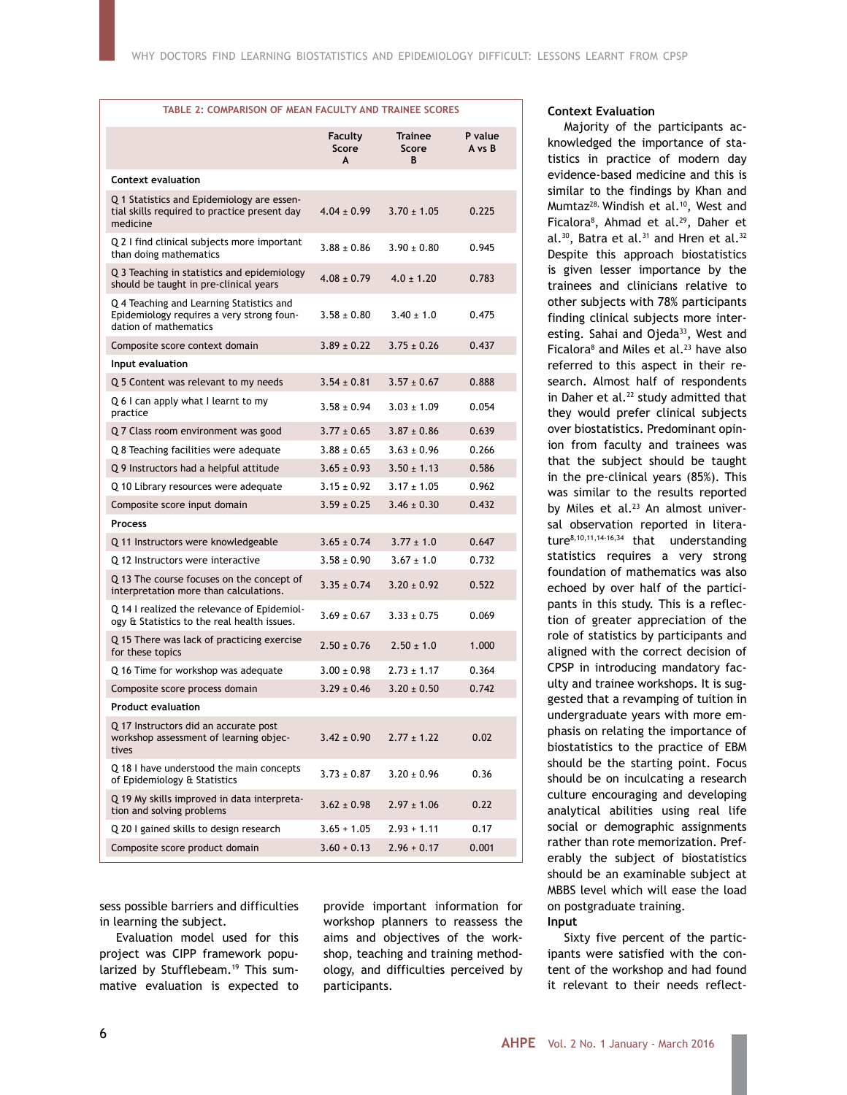#### **TABLE 2: COMPARISON OF MEAN FACULTY AND TRAINEE SCORES**

|                                                                                                                | <b>Faculty</b><br>Score<br>A | Trainee<br>Score<br>В | P value<br>A vs B |
|----------------------------------------------------------------------------------------------------------------|------------------------------|-----------------------|-------------------|
| <b>Context evaluation</b>                                                                                      |                              |                       |                   |
| Q 1 Statistics and Epidemiology are essen-<br>tial skills required to practice present day<br>medicine         | $4.04 \pm 0.99$              | $3.70 \pm 1.05$       | 0.225             |
| Q 2 I find clinical subjects more important<br>than doing mathematics                                          | $3.88 \pm 0.86$              | $3.90 \pm 0.80$       | 0.945             |
| Q 3 Teaching in statistics and epidemiology<br>should be taught in pre-clinical years                          | $4.08 \pm 0.79$              | $4.0 \pm 1.20$        | 0.783             |
| Q 4 Teaching and Learning Statistics and<br>Epidemiology requires a very strong foun-<br>dation of mathematics | $3.58 \pm 0.80$              | $3.40 \pm 1.0$        | 0.475             |
| Composite score context domain                                                                                 | $3.89 \pm 0.22$              | $3.75 \pm 0.26$       | 0.437             |
| Input evaluation                                                                                               |                              |                       |                   |
| Q 5 Content was relevant to my needs                                                                           | $3.54 \pm 0.81$              | $3.57 \pm 0.67$       | 0.888             |
| Q 6 I can apply what I learnt to my<br>practice                                                                | $3.58 \pm 0.94$              | $3.03 \pm 1.09$       | 0.054             |
| Q 7 Class room environment was good                                                                            | $3.77 \pm 0.65$              | $3.87 \pm 0.86$       | 0.639             |
| Q 8 Teaching facilities were adequate                                                                          | $3.88 \pm 0.65$              | $3.63 \pm 0.96$       | 0.266             |
| Q 9 Instructors had a helpful attitude                                                                         | $3.65 \pm 0.93$              | $3.50 \pm 1.13$       | 0.586             |
| Q 10 Library resources were adequate                                                                           | $3.15 \pm 0.92$              | $3.17 \pm 1.05$       | 0.962             |
| Composite score input domain                                                                                   | $3.59 \pm 0.25$              | $3.46 \pm 0.30$       | 0.432             |
| <b>Process</b>                                                                                                 |                              |                       |                   |
| Q 11 Instructors were knowledgeable                                                                            | $3.65 \pm 0.74$              | $3.77 \pm 1.0$        | 0.647             |
| Q 12 Instructors were interactive                                                                              | $3.58 \pm 0.90$              | $3.67 \pm 1.0$        | 0.732             |
| Q 13 The course focuses on the concept of<br>interpretation more than calculations.                            | $3.35 \pm 0.74$              | $3.20 \pm 0.92$       | 0.522             |
| Q 14 I realized the relevance of Epidemiol-<br>ogy & Statistics to the real health issues.                     | $3.69 \pm 0.67$              | $3.33 \pm 0.75$       | 0.069             |
| Q 15 There was lack of practicing exercise<br>for these topics                                                 | $2.50 \pm 0.76$              | $2.50 \pm 1.0$        | 1.000             |
| Q 16 Time for workshop was adequate                                                                            | $3.00 \pm 0.98$              | $2.73 + 1.17$         | 0.364             |
| Composite score process domain                                                                                 | $3.29 \pm 0.46$              | $3.20 \pm 0.50$       | 0.742             |
| <b>Product evaluation</b>                                                                                      |                              |                       |                   |
| Q 17 Instructors did an accurate post<br>workshop assessment of learning objec-<br>tives                       | $3.42 \pm 0.90$              | $2.77 \pm 1.22$       | 0.02              |
| Q 18 I have understood the main concepts<br>of Epidemiology & Statistics                                       | $3.73 \pm 0.87$              | $3.20 \pm 0.96$       | 0.36              |
| Q 19 My skills improved in data interpreta-<br>tion and solving problems                                       | $3.62 \pm 0.98$              | $2.97 \pm 1.06$       | 0.22              |
| Q 20 I gained skills to design research                                                                        | $3.65 + 1.05$                | $2.93 + 1.11$         | 0.17              |
| Composite score product domain                                                                                 | $3.60 + 0.13$                | $2.96 + 0.17$         | 0.001             |

sess possible barriers and difficulties in learning the subject.

Evaluation model used for this project was CIPP framework popularized by Stufflebeam.<sup>19</sup> This summative evaluation is expected to

provide important information for workshop planners to reassess the aims and objectives of the workshop, teaching and training methodology, and difficulties perceived by participants.

# **Context Evaluation**

Majority of the participants acknowledged the importance of statistics in practice of modern day evidence-based medicine and this is similar to the findings by Khan and Mumtaz<sup>28,</sup> Windish et al.<sup>10</sup>, West and Ficalora8 , Ahmad et al.29, Daher et al.<sup>30</sup>, Batra et al.<sup>31</sup> and Hren et al.<sup>32</sup> Despite this approach biostatistics is given lesser importance by the trainees and clinicians relative to other subjects with 78% participants finding clinical subjects more interesting. Sahai and Ojeda<sup>33</sup>, West and Ficalora<sup>8</sup> and Miles et al.<sup>23</sup> have also referred to this aspect in their research. Almost half of respondents in Daher et al. $^{22}$  study admitted that they would prefer clinical subjects over biostatistics. Predominant opinion from faculty and trainees was that the subject should be taught in the pre-clinical years (85%). This was similar to the results reported by Miles et al.<sup>23</sup> An almost universal observation reported in literature8,10,11,14-16,34 that understanding statistics requires a very strong foundation of mathematics was also echoed by over half of the participants in this study. This is a reflection of greater appreciation of the role of statistics by participants and aligned with the correct decision of CPSP in introducing mandatory faculty and trainee workshops. It is suggested that a revamping of tuition in undergraduate years with more emphasis on relating the importance of biostatistics to the practice of EBM should be the starting point. Focus should be on inculcating a research culture encouraging and developing analytical abilities using real life social or demographic assignments rather than rote memorization. Preferably the subject of biostatistics should be an examinable subject at MBBS level which will ease the load on postgraduate training.

#### **Input**

Sixty five percent of the participants were satisfied with the content of the workshop and had found it relevant to their needs reflect-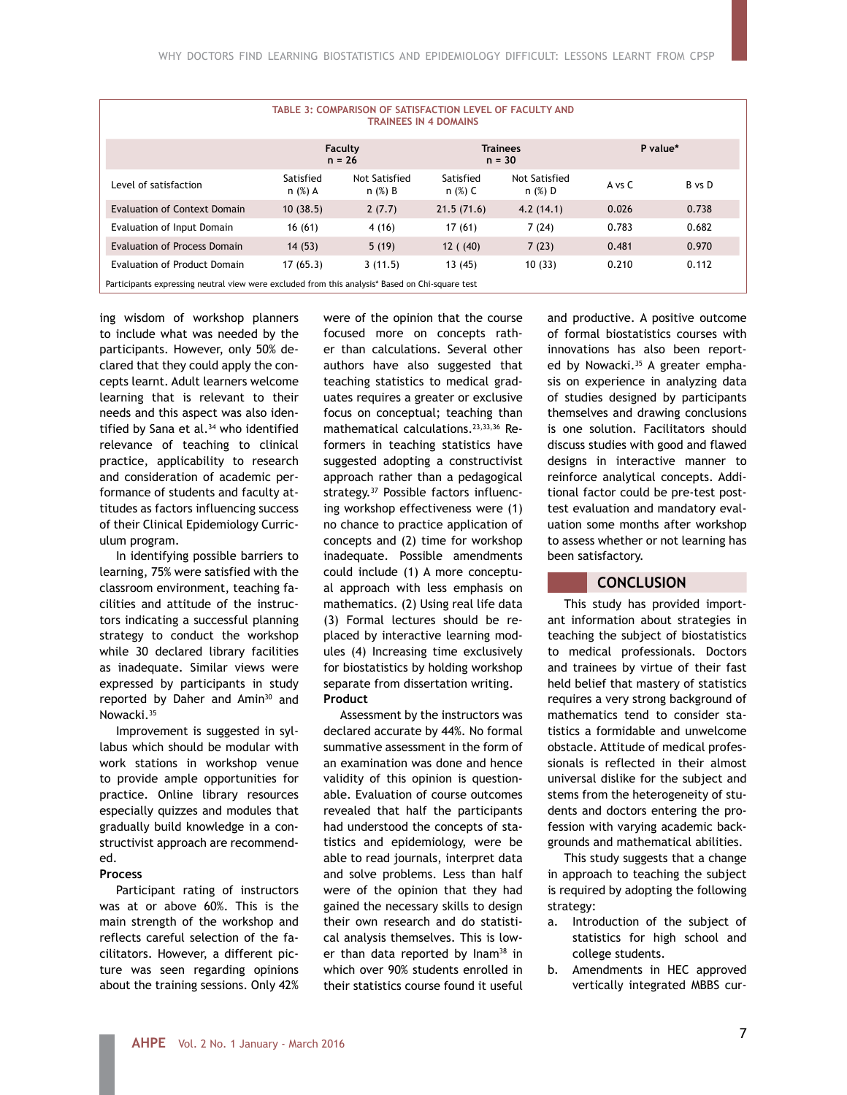| TABLE 3: COMPARISON OF SATISFACTION LEVEL OF FACULTY AND<br><b>TRAINEES IN 4 DOMAINS</b>        |                        |                            |                             |                            |          |        |  |  |  |
|-------------------------------------------------------------------------------------------------|------------------------|----------------------------|-----------------------------|----------------------------|----------|--------|--|--|--|
|                                                                                                 | Faculty<br>$n = 26$    |                            | <b>Trainees</b><br>$n = 30$ |                            | P value* |        |  |  |  |
| Level of satisfaction                                                                           | Satisfied<br>$n$ (%) A | Not Satisfied<br>$n$ (%) B | Satisfied<br>n (%) C        | Not Satisfied<br>$n$ (%) D | A vs C   | B vs D |  |  |  |
| Evaluation of Context Domain                                                                    | 10(38.5)               | 2(7.7)                     | 21.5(71.6)                  | 4.2(14.1)                  | 0.026    | 0.738  |  |  |  |
| Evaluation of Input Domain                                                                      | 16(61)                 | 4 (16)                     | 17(61)                      | 7(24)                      | 0.783    | 0.682  |  |  |  |
| <b>Evaluation of Process Domain</b>                                                             | 14(53)                 | 5(19)                      | 12(40)                      | 7(23)                      | 0.481    | 0.970  |  |  |  |
| Evaluation of Product Domain                                                                    | 17(65.3)               | 3(11.5)                    | 13 (45)                     | 10(33)                     | 0.210    | 0.112  |  |  |  |
| Participants expressing neutral view were excluded from this analysis* Based on Chi-square test |                        |                            |                             |                            |          |        |  |  |  |

ing wisdom of workshop planners to include what was needed by the participants. However, only 50% declared that they could apply the concepts learnt. Adult learners welcome learning that is relevant to their needs and this aspect was also identified by Sana et al.<sup>34</sup> who identified relevance of teaching to clinical practice, applicability to research and consideration of academic performance of students and faculty attitudes as factors influencing success of their Clinical Epidemiology Curriculum program.

In identifying possible barriers to learning, 75% were satisfied with the classroom environment, teaching facilities and attitude of the instructors indicating a successful planning strategy to conduct the workshop while 30 declared library facilities as inadequate. Similar views were expressed by participants in study reported by Daher and Amin<sup>30</sup> and Nowacki.35

Improvement is suggested in syllabus which should be modular with work stations in workshop venue to provide ample opportunities for practice. Online library resources especially quizzes and modules that gradually build knowledge in a constructivist approach are recommended.

#### **Process**

Participant rating of instructors was at or above 60%. This is the main strength of the workshop and reflects careful selection of the facilitators. However, a different picture was seen regarding opinions about the training sessions. Only 42%

were of the opinion that the course focused more on concepts rather than calculations. Several other authors have also suggested that teaching statistics to medical graduates requires a greater or exclusive focus on conceptual; teaching than mathematical calculations.23,33,36 Reformers in teaching statistics have suggested adopting a constructivist approach rather than a pedagogical strategy.37 Possible factors influencing workshop effectiveness were (1) no chance to practice application of concepts and (2) time for workshop inadequate. Possible amendments could include (1) A more conceptual approach with less emphasis on mathematics. (2) Using real life data (3) Formal lectures should be replaced by interactive learning modules (4) Increasing time exclusively for biostatistics by holding workshop separate from dissertation writing. **Product**

Assessment by the instructors was declared accurate by 44%. No formal summative assessment in the form of an examination was done and hence validity of this opinion is questionable. Evaluation of course outcomes revealed that half the participants had understood the concepts of statistics and epidemiology, were be able to read journals, interpret data and solve problems. Less than half were of the opinion that they had gained the necessary skills to design their own research and do statistical analysis themselves. This is lower than data reported by Inam<sup>38</sup> in which over 90% students enrolled in their statistics course found it useful

and productive. A positive outcome of formal biostatistics courses with innovations has also been reported by Nowacki.<sup>35</sup> A greater emphasis on experience in analyzing data of studies designed by participants themselves and drawing conclusions is one solution. Facilitators should discuss studies with good and flawed designs in interactive manner to reinforce analytical concepts. Additional factor could be pre-test posttest evaluation and mandatory evaluation some months after workshop to assess whether or not learning has been satisfactory.

### **CONCLUSION**

This study has provided important information about strategies in teaching the subject of biostatistics to medical professionals. Doctors and trainees by virtue of their fast held belief that mastery of statistics requires a very strong background of mathematics tend to consider statistics a formidable and unwelcome obstacle. Attitude of medical professionals is reflected in their almost universal dislike for the subject and stems from the heterogeneity of students and doctors entering the profession with varying academic backgrounds and mathematical abilities.

This study suggests that a change in approach to teaching the subject is required by adopting the following strategy:

- a. Introduction of the subject of statistics for high school and college students.
- b. Amendments in HEC approved vertically integrated MBBS cur-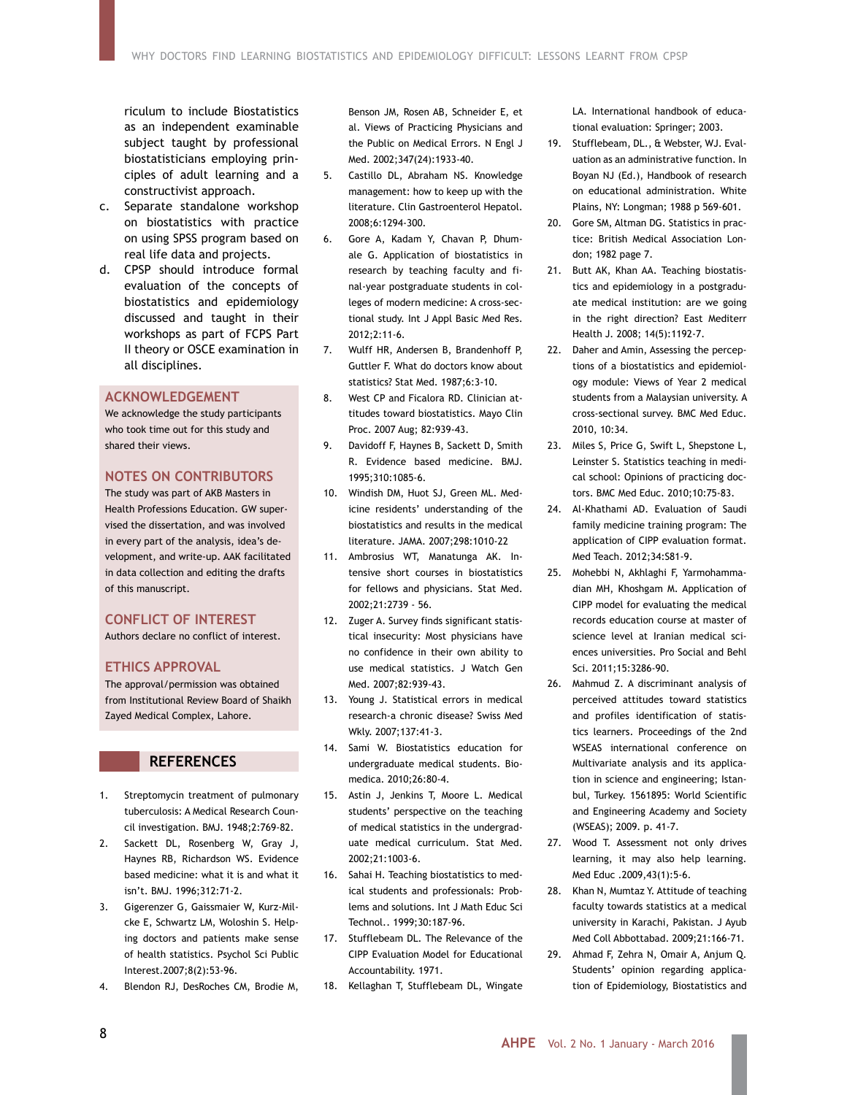riculum to include Biostatistics as an independent examinable subject taught by professional biostatisticians employing principles of adult learning and a constructivist approach.

- c. Separate standalone workshop on biostatistics with practice on using SPSS program based on real life data and projects.
- d. CPSP should introduce formal evaluation of the concepts of biostatistics and epidemiology discussed and taught in their workshops as part of FCPS Part II theory or OSCE examination in all disciplines.

# **ACKNOWLEDGEMENT**

We acknowledge the study participants who took time out for this study and shared their views.

### **NOTES ON CONTRIBUTORS**

The study was part of AKB Masters in Health Professions Education. GW supervised the dissertation, and was involved in every part of the analysis, idea's development, and write-up. AAK facilitated in data collection and editing the drafts of this manuscript.

# **CONFLICT OF INTEREST**

Authors declare no conflict of interest.

# **ETHICS APPROVAL**

The approval/permission was obtained from Institutional Review Board of Shaikh Zayed Medical Complex, Lahore.

# **REFERENCES**

- 1. Streptomycin treatment of pulmonary tuberculosis: A Medical Research Council investigation. BMJ. 1948;2:769-82.
- 2. Sackett DL, Rosenberg W, Gray J, Haynes RB, Richardson WS. Evidence based medicine: what it is and what it isn't. BMJ. 1996;312:71-2.
- 3. Gigerenzer G, Gaissmaier W, Kurz-Milcke E, Schwartz LM, Woloshin S. Helping doctors and patients make sense of health statistics. Psychol Sci Public Interest.2007;8(2):53-96.
- 4. Blendon RJ, DesRoches CM, Brodie M,

Benson JM, Rosen AB, Schneider E, et al. Views of Practicing Physicians and the Public on Medical Errors. N Engl J Med. 2002;347(24):1933-40.

- 5. Castillo DL, Abraham NS. Knowledge management: how to keep up with the literature. Clin Gastroenterol Hepatol. 2008;6:1294-300.
- 6. Gore A, Kadam Y, Chavan P, Dhumale G. Application of biostatistics in research by teaching faculty and final-year postgraduate students in colleges of modern medicine: A cross-sectional study. Int J Appl Basic Med Res. 2012;2:11-6.
- 7. Wulff HR, Andersen B, Brandenhoff P, Guttler F. What do doctors know about statistics? Stat Med. 1987;6:3-10.
- 8. West CP and Ficalora RD. Clinician attitudes toward biostatistics. Mayo Clin Proc. 2007 Aug; 82:939-43.
- 9. Davidoff F, Haynes B, Sackett D, Smith R. Evidence based medicine. BMJ. 1995;310:1085-6.
- 10. Windish DM, Huot SJ, Green ML. Medicine residents' understanding of the biostatistics and results in the medical literature. JAMA. 2007;298:1010-22
- 11. Ambrosius WT, Manatunga AK. Intensive short courses in biostatistics for fellows and physicians. Stat Med. 2002;21:2739 - 56.
- 12. Zuger A. Survey finds significant statistical insecurity: Most physicians have no confidence in their own ability to use medical statistics. J Watch Gen Med. 2007;82:939-43.
- 13. Young J. Statistical errors in medical research-a chronic disease? Swiss Med Wkly. 2007;137:41-3.
- 14. Sami W. Biostatistics education for undergraduate medical students. Biomedica. 2010;26:80-4.
- 15. Astin J, Jenkins T, Moore L. Medical students' perspective on the teaching of medical statistics in the undergraduate medical curriculum. Stat Med. 2002;21:1003-6.
- 16. Sahai H. Teaching biostatistics to medical students and professionals: Problems and solutions. Int J Math Educ Sci Technol.. 1999;30:187-96.
- 17. Stufflebeam DL. The Relevance of the CIPP Evaluation Model for Educational Accountability. 1971.
- 18. Kellaghan T, Stufflebeam DL, Wingate

LA. International handbook of educational evaluation: Springer; 2003.

- 19. Stufflebeam, DL., & Webster, WJ. Evaluation as an administrative function. In Boyan NJ (Ed.), Handbook of research on educational administration. White Plains, NY: Longman; 1988 p 569-601.
- 20. Gore SM, Altman DG. Statistics in practice: British Medical Association London; 1982 page 7.
- 21. Butt AK, Khan AA. Teaching biostatistics and epidemiology in a postgraduate medical institution: are we going in the right direction? East Mediterr Health J. 2008; 14(5):1192-7.
- 22. Daher and Amin, Assessing the perceptions of a biostatistics and epidemiology module: Views of Year 2 medical students from a Malaysian university. A cross-sectional survey. BMC Med Educ. 2010, 10:34.
- 23. Miles S, Price G, Swift L, Shepstone L, Leinster S. Statistics teaching in medical school: Opinions of practicing doctors. BMC Med Educ. 2010;10:75-83.
- 24. Al-Khathami AD. Evaluation of Saudi family medicine training program: The application of CIPP evaluation format. Med Teach. 2012;34:S81-9.
- 25. Mohebbi N, Akhlaghi F, Yarmohammadian MH, Khoshgam M. Application of CIPP model for evaluating the medical records education course at master of science level at Iranian medical sciences universities. Pro Social and Behl Sci. 2011;15:3286-90.
- 26. Mahmud Z. A discriminant analysis of perceived attitudes toward statistics and profiles identification of statistics learners. Proceedings of the 2nd WSEAS international conference on Multivariate analysis and its application in science and engineering; Istanbul, Turkey. 1561895: World Scientific and Engineering Academy and Society (WSEAS); 2009. p. 41-7.
- 27. Wood T. Assessment not only drives learning, it may also help learning. Med Educ .2009,43(1):5-6.
- 28. Khan N, Mumtaz Y. Attitude of teaching faculty towards statistics at a medical university in Karachi, Pakistan. J Ayub Med Coll Abbottabad. 2009;21:166-71.
- 29. Ahmad F, Zehra N, Omair A, Anjum Q. Students' opinion regarding application of Epidemiology, Biostatistics and